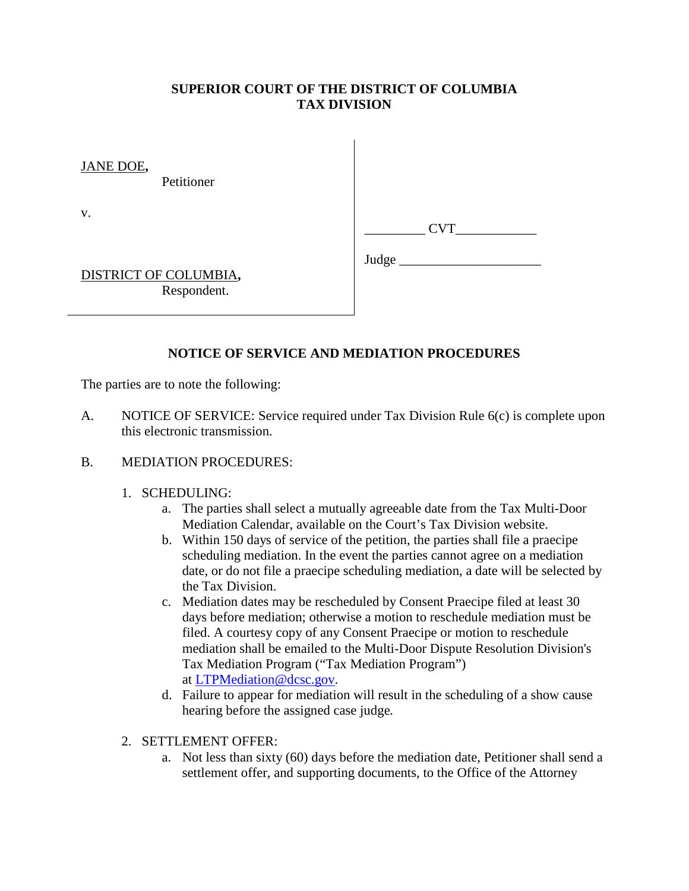# **SUPERIOR COURT OF THE DISTRICT OF COLUMBIA TAX DIVISION**

JANE DOE**,**

Petitioner

v.

DISTRICT OF COLUMBIA**,** Respondent.

Judge \_\_\_\_\_\_\_\_\_\_\_\_\_\_\_\_\_\_\_\_\_

# **NOTICE OF SERVICE AND MEDIATION PROCEDURES**

The parties are to note the following:

A. NOTICE OF SERVICE: Service required under Tax Division Rule 6(c) is complete upon this electronic transmission.

### B. MEDIATION PROCEDURES:

### 1. SCHEDULING:

- a. The parties shall select a mutually agreeable date from the Tax Multi-Door Mediation Calendar, available on the Court's Tax Division website.
- b. Within 150 days of service of the petition, the parties shall file a praecipe scheduling mediation. In the event the parties cannot agree on a mediation date, or do not file a praecipe scheduling mediation, a date will be selected by the Tax Division.
- c. Mediation dates may be rescheduled by Consent Praecipe filed at least 30 days before mediation; otherwise a motion to reschedule mediation must be filed. A courtesy copy of any Consent Praecipe or motion to reschedule mediation shall be emailed to the Multi-Door Dispute Resolution Division's Tax Mediation Program ("Tax Mediation Program") at [LTPMediation@dcsc.gov.](mailto:LTPMediation@dcsc.gov)
- d. Failure to appear for mediation will result in the scheduling of a show cause hearing before the assigned case judge*.*
- 2. SETTLEMENT OFFER:
	- a. Not less than sixty (60) days before the mediation date, Petitioner shall send a settlement offer, and supporting documents, to the Office of the Attorney